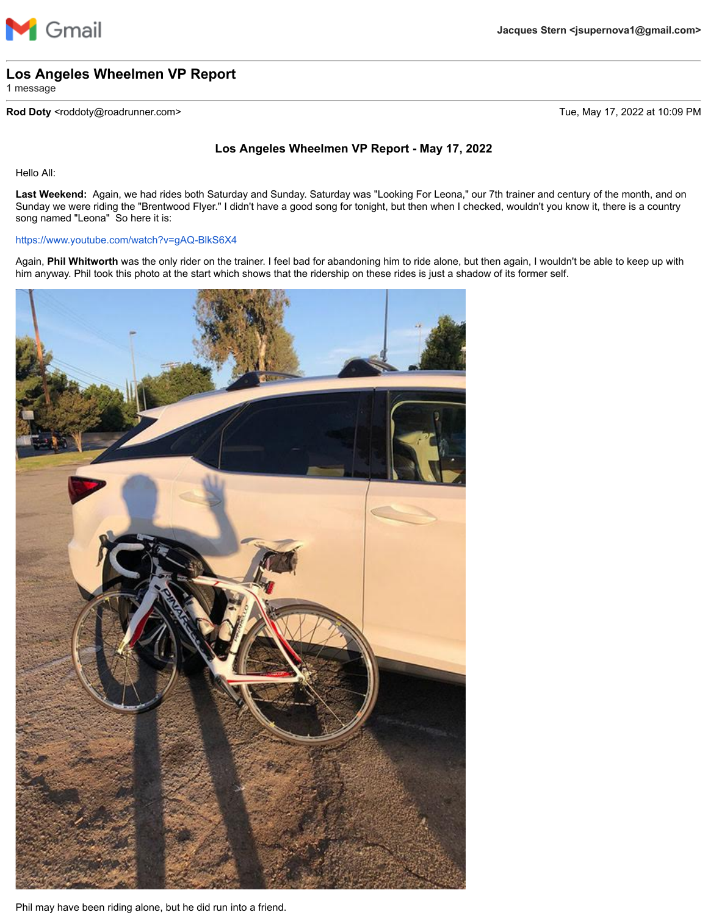

## **Los Angeles Wheelmen VP Report**

1 message

## **Rod Doty** <roddoty@roadrunner.com> Tue, May 17, 2022 at 10:09 PM

## **Los Angeles Wheelmen VP Report - May 17, 2022**

Hello All:

**Last Weekend:** Again, we had rides both Saturday and Sunday. Saturday was "Looking For Leona," our 7th trainer and century of the month, and on Sunday we were riding the "Brentwood Flyer." I didn't have a good song for tonight, but then when I checked, wouldn't you know it, there is a country song named "Leona" So here it is:

## <https://www.youtube.com/watch?v=gAQ-BlkS6X4>

Again, **Phil Whitworth** was the only rider on the trainer. I feel bad for abandoning him to ride alone, but then again, I wouldn't be able to keep up with him anyway. Phil took this photo at the start which shows that the ridership on these rides is just a shadow of its former self.



Phil may have been riding alone, but he did run into a friend.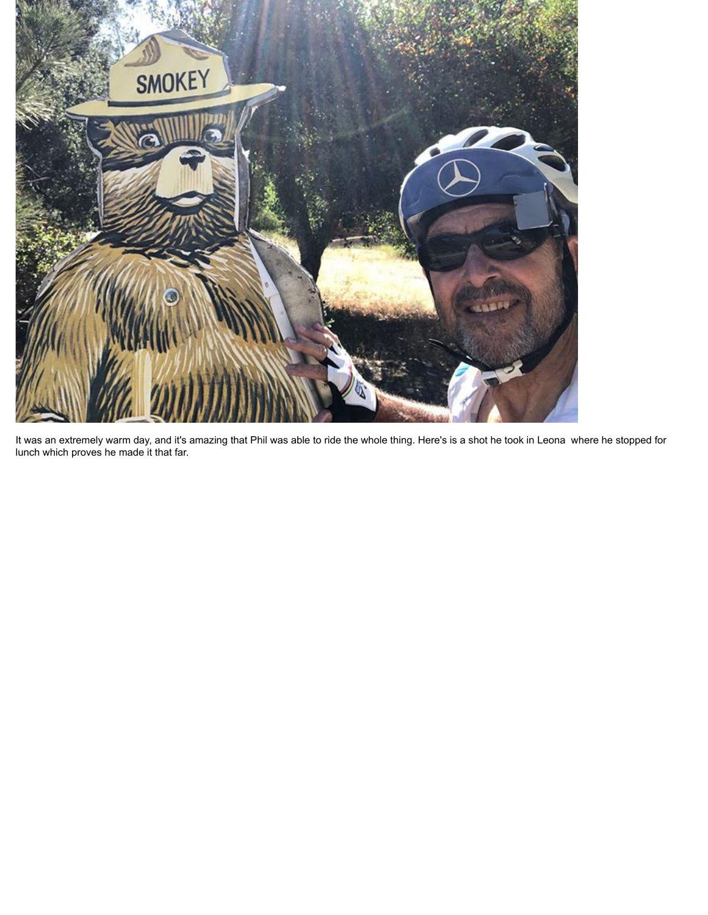

It was an extremely warm day, and it's amazing that Phil was able to ride the whole thing. Here's is a shot he took in Leona where he stopped for lunch which proves he made it that far.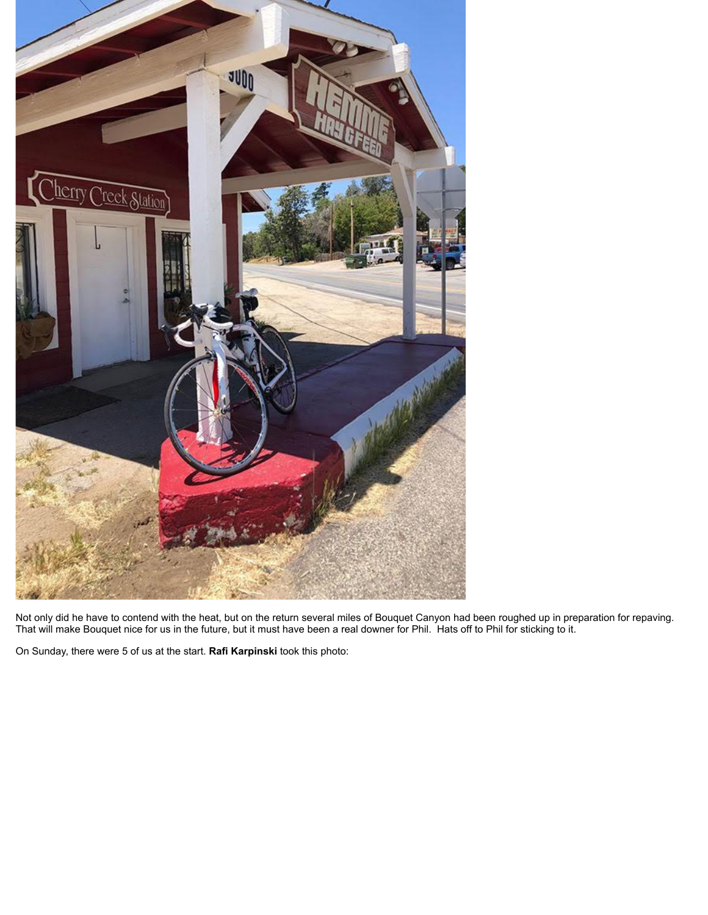

Not only did he have to contend with the heat, but on the return several miles of Bouquet Canyon had been roughed up in preparation for repaving. That will make Bouquet nice for us in the future, but it must have been a real downer for Phil. Hats off to Phil for sticking to it.

On Sunday, there were 5 of us at the start. **Rafi Karpinski** took this photo: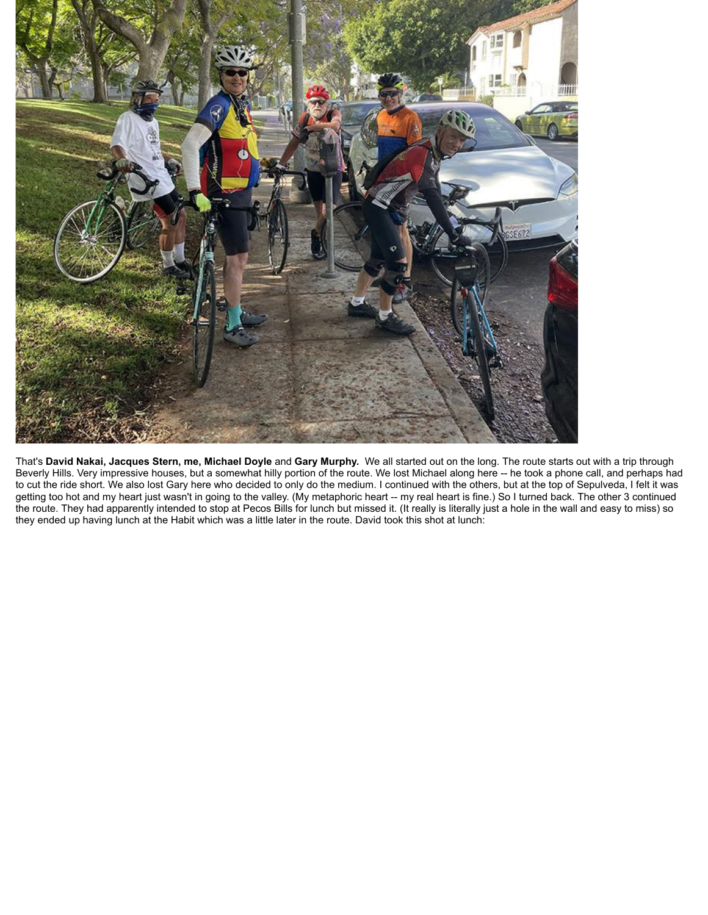

That's **David Nakai, Jacques Stern, me, Michael Doyle** and **Gary Murphy.** We all started out on the long. The route starts out with a trip through Beverly Hills. Very impressive houses, but a somewhat hilly portion of the route. We lost Michael along here -- he took a phone call, and perhaps had to cut the ride short. We also lost Gary here who decided to only do the medium. I continued with the others, but at the top of Sepulveda, I felt it was getting too hot and my heart just wasn't in going to the valley. (My metaphoric heart -- my real heart is fine.) So I turned back. The other 3 continued the route. They had apparently intended to stop at Pecos Bills for lunch but missed it. (It really is literally just a hole in the wall and easy to miss) so they ended up having lunch at the Habit which was a little later in the route. David took this shot at lunch: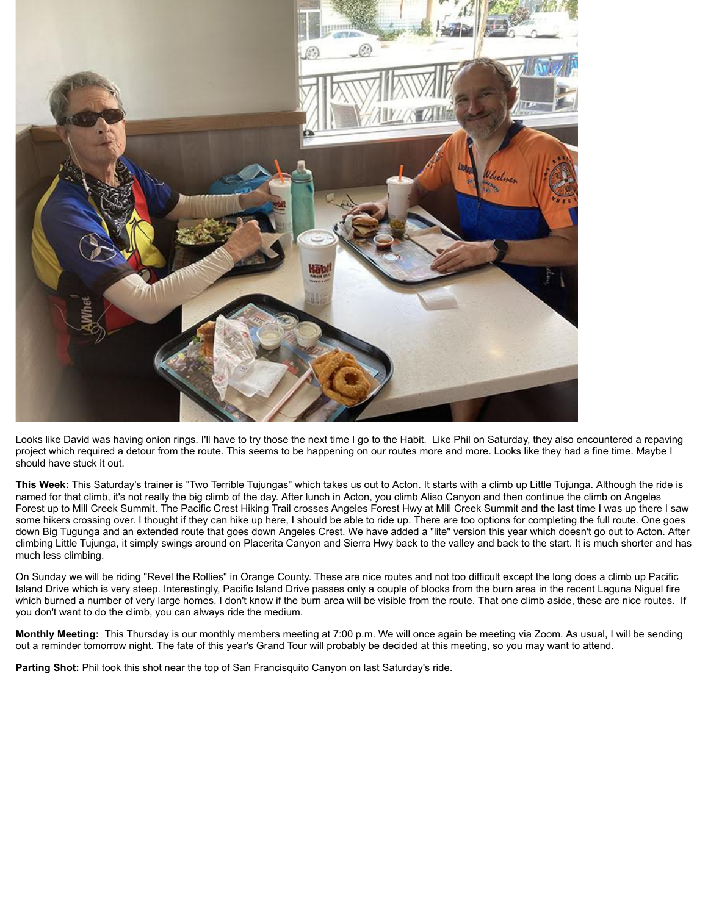

Looks like David was having onion rings. I'll have to try those the next time I go to the Habit. Like Phil on Saturday, they also encountered a repaving project which required a detour from the route. This seems to be happening on our routes more and more. Looks like they had a fine time. Maybe I should have stuck it out.

**This Week:** This Saturday's trainer is "Two Terrible Tujungas" which takes us out to Acton. It starts with a climb up Little Tujunga. Although the ride is named for that climb, it's not really the big climb of the day. After lunch in Acton, you climb Aliso Canyon and then continue the climb on Angeles Forest up to Mill Creek Summit. The Pacific Crest Hiking Trail crosses Angeles Forest Hwy at Mill Creek Summit and the last time I was up there I saw some hikers crossing over. I thought if they can hike up here, I should be able to ride up. There are too options for completing the full route. One goes down Big Tugunga and an extended route that goes down Angeles Crest. We have added a "lite" version this year which doesn't go out to Acton. After climbing Little Tujunga, it simply swings around on Placerita Canyon and Sierra Hwy back to the valley and back to the start. It is much shorter and has much less climbing.

On Sunday we will be riding "Revel the Rollies" in Orange County. These are nice routes and not too difficult except the long does a climb up Pacific Island Drive which is very steep. Interestingly, Pacific Island Drive passes only a couple of blocks from the burn area in the recent Laguna Niguel fire which burned a number of very large homes. I don't know if the burn area will be visible from the route. That one climb aside, these are nice routes. If you don't want to do the climb, you can always ride the medium.

**Monthly Meeting:** This Thursday is our monthly members meeting at 7:00 p.m. We will once again be meeting via Zoom. As usual, I will be sending out a reminder tomorrow night. The fate of this year's Grand Tour will probably be decided at this meeting, so you may want to attend.

**Parting Shot:** Phil took this shot near the top of San Francisquito Canyon on last Saturday's ride.